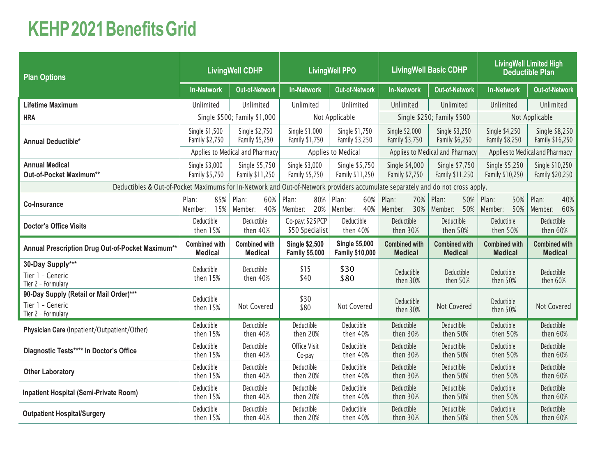## **KEHP2021BenefitsGrid**

| <b>Plan Options</b>                                                                                                            | <b>LivingWell CDHP</b>           |                                  | <b>LivingWell PPO</b>            |                                  | <b>LivingWell Basic CDHP</b>     |                                  | <b>LivingWell Limited High</b><br><b>Deductible Plan</b> |                                   |  |
|--------------------------------------------------------------------------------------------------------------------------------|----------------------------------|----------------------------------|----------------------------------|----------------------------------|----------------------------------|----------------------------------|----------------------------------------------------------|-----------------------------------|--|
|                                                                                                                                | <b>In-Network</b>                | <b>Out-of-Network</b>            | <b>In-Network</b>                | <b>Out-of-Network</b>            | <b>In-Network</b>                | Out-of-Network                   | <b>In-Network</b>                                        | <b>Out-of-Network</b>             |  |
| <b>Lifetime Maximum</b>                                                                                                        | Unlimited                        | Unlimited                        | Unlimited                        | Unlimited                        | Unlimited                        | Unlimited                        | Unlimited                                                | Unlimited                         |  |
| <b>HRA</b>                                                                                                                     |                                  | Single \$500; Family \$1,000     |                                  | Not Applicable                   |                                  | Single \$250; Family \$500       |                                                          | Not Applicable                    |  |
| <b>Annual Deductible*</b>                                                                                                      | Single \$1,500<br>Family \$2,750 | Single \$2,750<br>Family \$5,250 | Single \$1,000<br>Family \$1,750 | Single \$1,750<br>Family \$3,250 | Single \$2,000<br>Family \$3,750 | Single \$3,250<br>Family \$6,250 | Single \$4,250<br>Family \$8,250                         | Single \$8,250<br>Family \$16,250 |  |
|                                                                                                                                | Applies to Medical and Pharmacy  |                                  | Applies to Medical               |                                  | Applies to Medical and Pharmacy  |                                  | Applies to Medical and Pharmacy                          |                                   |  |
| <b>Annual Medical</b>                                                                                                          | Single \$3,000                   | Single \$5,750                   | Single \$3,000                   | Single \$5,750                   | Single \$4,000                   | Single \$7,750                   | Single \$5,250                                           | Single \$10,250                   |  |
| Out-of-Pocket Maximum**                                                                                                        | Family \$5,750                   | Family \$11,250                  | Family \$5,750                   | Family \$11,250                  | Family \$7,750                   | Family \$11,250                  | Family \$10,250                                          | Family \$20,250                   |  |
| Deductibles & Out-of-Pocket Maximums for In-Network and Out-of-Network providers accumulate separately and do not cross apply. |                                  |                                  |                                  |                                  |                                  |                                  |                                                          |                                   |  |
| <b>Co-Insurance</b>                                                                                                            | 85%                              | Plan:                            | Plan:                            | Plan:                            | Plan:                            | Plan:                            | Plan:                                                    | Plan:                             |  |
|                                                                                                                                | Plan:                            | 60%                              | 80%                              | 60%                              | 70%                              | 50%                              | 50%                                                      | 40%                               |  |
|                                                                                                                                | 15%                              | Member:                          | Member:                          | 40%                              | 30%                              | Member:                          | Member:                                                  | Member:                           |  |
|                                                                                                                                | Member:                          | 40%                              | 20%                              | Member:                          | Member:                          | 50%                              | 50%                                                      | 60%                               |  |
| <b>Doctor's Office Visits</b>                                                                                                  | Deductible                       | Deductible                       | Co-pay: \$25 PCP                 | Deductible                       | Deductible                       | Deductible                       | Deductible                                               | Deductible                        |  |
|                                                                                                                                | then 15%                         | then 40%                         | \$50 Specialist                  | then 40%                         | then 30%                         | then 50%                         | then 50%                                                 | then 60%                          |  |
| Annual Prescription Drug Out-of-Pocket Maximum**                                                                               | <b>Combined with</b>             | <b>Combined with</b>             | <b>Single \$2,500</b>            | <b>Single \$5,000</b>            | <b>Combined with</b>             | <b>Combined with</b>             | <b>Combined with</b>                                     | <b>Combined with</b>              |  |
|                                                                                                                                | <b>Medical</b>                   | <b>Medical</b>                   | <b>Family \$5,000</b>            | <b>Family \$10,000</b>           | <b>Medical</b>                   | <b>Medical</b>                   | <b>Medical</b>                                           | <b>Medical</b>                    |  |
| 30-Day Supply***<br>Tier 1 - Generic<br>Tier 2 - Formulary                                                                     | Deductible<br>then 15%           | Deductible<br>then 40%           | \$15<br>\$40                     | \$30<br>\$80                     | Deductible<br>then 30%           | Deductible<br>then 50%           | Deductible<br>then 50%                                   | Deductible<br>then 60%            |  |
| 90-Day Supply (Retail or Mail Order)***<br>Tier 1 - Generic<br>Tier 2 - Formulary                                              | Deductible<br>then 15%           | Not Covered                      | \$30<br>\$80                     | Not Covered                      | Deductible<br>then 30%           | Not Covered                      | Deductible<br>then 50%                                   | Not Covered                       |  |
| Physician Care (Inpatient/Outpatient/Other)                                                                                    | Deductible                       | Deductible                       | Deductible                       | Deductible                       | Deductible                       | Deductible                       | Deductible                                               | Deductible                        |  |
|                                                                                                                                | then 15%                         | then 40%                         | then 20%                         | then 40%                         | then 30%                         | then 50%                         | then 50%                                                 | then 60%                          |  |
| Diagnostic Tests**** In Doctor's Office                                                                                        | Deductible                       | Deductible                       | Office Visit                     | Deductible                       | Deductible                       | Deductible                       | Deductible                                               | Deductible                        |  |
|                                                                                                                                | then 15%                         | then 40%                         | Co-pay                           | then 40%                         | then 30%                         | then 50%                         | then 50%                                                 | then 60%                          |  |
| <b>Other Laboratory</b>                                                                                                        | Deductible                       | Deductible                       | Deductible                       | Deductible                       | Deductible                       | Deductible                       | Deductible                                               | Deductible                        |  |
|                                                                                                                                | then 15%                         | then 40%                         | then 20%                         | then 40%                         | then 30%                         | then 50%                         | then 50%                                                 | then 60%                          |  |
| Inpatient Hospital (Semi-Private Room)                                                                                         | Deductible                       | Deductible                       | Deductible                       | Deductible                       | Deductible                       | Deductible                       | Deductible                                               | Deductible                        |  |
|                                                                                                                                | then 15%                         | then 40%                         | then 20%                         | then 40%                         | then 30%                         | then 50%                         | then 50%                                                 | then 60%                          |  |
| <b>Outpatient Hospital/Surgery</b>                                                                                             | Deductible                       | Deductible                       | Deductible                       | Deductible                       | Deductible                       | Deductible                       | Deductible                                               | Deductible                        |  |
|                                                                                                                                | then 15%                         | then 40%                         | then 20%                         | then 40%                         | then 30%                         | then 50%                         | then 50%                                                 | then 60%                          |  |